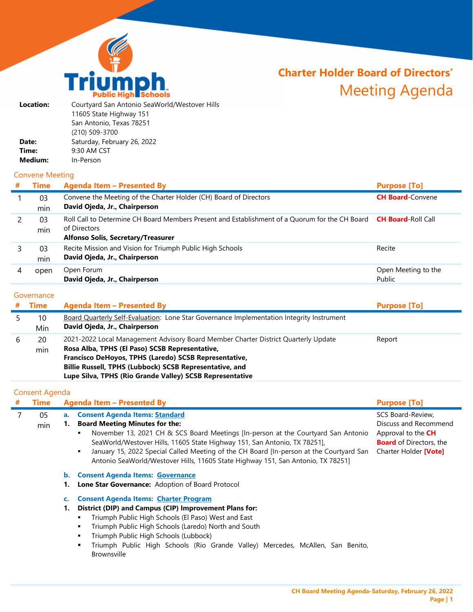

# **Charter Holder Board of Directors'** Meeting Agenda

| Courtyard San Antonio SeaWorld/Westover Hills |
|-----------------------------------------------|
| 11605 State Highway 151                       |
| San Antonio, Texas 78251                      |
| (210) 509-3700                                |
| Saturday, February 26, 2022                   |
| 9:30 AM CST                                   |
| In-Person                                     |
|                                               |

## Convene Meeting

| # | <b>Time</b> | <b>Agenda Item - Presented By</b>                                                                                                                                              | <b>Purpose [To]</b>           |
|---|-------------|--------------------------------------------------------------------------------------------------------------------------------------------------------------------------------|-------------------------------|
|   | 03<br>min   | Convene the Meeting of the Charter Holder (CH) Board of Directors<br>David Ojeda, Jr., Chairperson                                                                             | <b>CH Board-Convene</b>       |
|   | 03<br>min   | Roll Call to Determine CH Board Members Present and Establishment of a Quorum for the CH Board CH Board-Roll Call<br>of Directors<br><b>Alfonso Solis, Secretary/Treasurer</b> |                               |
|   | 03<br>min   | Recite Mission and Vision for Triumph Public High Schools<br>David Ojeda, Jr., Chairperson                                                                                     | Recite                        |
|   | open        | Open Forum<br>David Ojeda, Jr., Chairperson                                                                                                                                    | Open Meeting to the<br>Public |

## **Governance**

|   | <b>Time</b> | <b>Agenda Item - Presented By</b>                                                                                                                                                                                                                                                                                    | <b>Purpose [To]</b> |
|---|-------------|----------------------------------------------------------------------------------------------------------------------------------------------------------------------------------------------------------------------------------------------------------------------------------------------------------------------|---------------------|
|   | 10<br>Min   | <b>Board Quarterly Self-Evaluation: Lone Star Governance Implementation Integrity Instrument</b><br>David Ojeda, Jr., Chairperson                                                                                                                                                                                    |                     |
| b | 20<br>min   | 2021-2022 Local Management Advisory Board Member Charter District Quarterly Update<br>Rosa Alba, TPHS (El Paso) SCSB Representative,<br>Francisco DeHoyos, TPHS (Laredo) SCSB Representative,<br>Billie Russell, TPHS (Lubbock) SCSB Representative, and<br>Lupe Silva, TPHS (Rio Grande Valley) SCSB Representative | Report              |

## Consent Agenda

| # | <b>Time</b> |                | <b>Agenda Item - Presented By</b>                                                                                                                                                                                                                                                                                                                                                                                                      | <b>Purpose [To]</b>                                                                                                         |
|---|-------------|----------------|----------------------------------------------------------------------------------------------------------------------------------------------------------------------------------------------------------------------------------------------------------------------------------------------------------------------------------------------------------------------------------------------------------------------------------------|-----------------------------------------------------------------------------------------------------------------------------|
|   | 05<br>min   |                | a. Consent Agenda Items: Standard<br><b>Board Meeting Minutes for the:</b><br>November 13, 2021 CH & SCS Board Meetings [In-person at the Courtyard San Antonio<br>٠<br>SeaWorld/Westover Hills, 11605 State Highway 151, San Antonio, TX 78251],<br>January 15, 2022 Special Called Meeting of the CH Board [In-person at the Courtyard San<br>л.<br>Antonio SeaWorld/Westover Hills, 11605 State Highway 151, San Antonio, TX 78251] | SCS Board-Review.<br>Discuss and Recommend<br>Approval to the CH<br><b>Board</b> of Directors, the<br>Charter Holder [Vote] |
|   |             | $\mathbf{b}$ . | <b>Consent Agenda Items: Governance</b><br>Lone Star Governance: Adoption of Board Protocol                                                                                                                                                                                                                                                                                                                                            |                                                                                                                             |
|   |             |                | <b>Consent Agenda Items: Charter Program</b>                                                                                                                                                                                                                                                                                                                                                                                           |                                                                                                                             |
|   |             | 1.             | District (DIP) and Campus (CIP) Improvement Plans for:<br>Triumph Public High Schools (El Paso) West and East<br>Triumph Public High Schools (Laredo) North and South<br>٠<br>Triumph Public High Schools (Lubbock)<br>Triumph Public High Schools (Rio Grande Valley) Mercedes, McAllen, San Benito,<br><b>Brownsville</b>                                                                                                            |                                                                                                                             |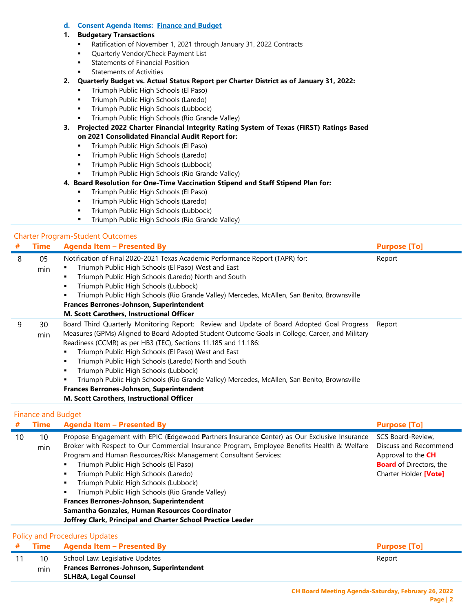#### **d. Consent Agenda Items: Finance and Budget**

#### **1. Budgetary Transactions**

- Ratification of November 1, 2021 through January 31, 2022 Contracts
- Quarterly Vendor/Check Payment List
- **Statements of Financial Position**
- Statements of Activities
- **2. Quarterly Budget vs. Actual Status Report per Charter District as of January 31, 2022:**
	- **Triumph Public High Schools (El Paso)**
	- **Triumph Public High Schools (Laredo)**
	- **Triumph Public High Schools (Lubbock)**
	- Triumph Public High Schools (Rio Grande Valley)
- **3. Projected 2022 Charter Financial Integrity Rating System of Texas (FIRST) Ratings Based on 2021 Consolidated Financial Audit Report for:**
	- **Triumph Public High Schools (El Paso)**
	- **Triumph Public High Schools (Laredo)**
	- **Triumph Public High Schools (Lubbock)**
	- Triumph Public High Schools (Rio Grande Valley)
- **4. Board Resolution for One-Time Vaccination Stipend and Staff Stipend Plan for:**
	- **Triumph Public High Schools (El Paso)**
	- **Triumph Public High Schools (Laredo)**
	- **Triumph Public High Schools (Lubbock)**
	- **Triumph Public High Schools (Rio Grande Valley)**

#### Charter Program-Student Outcomes

| # | <b>Time</b> | Agenda Item - Presented By                                                                                                                                                                                                                                                                                                                                                                                                                                                                                                                                                                                                          | <b>Purpose [To]</b> |
|---|-------------|-------------------------------------------------------------------------------------------------------------------------------------------------------------------------------------------------------------------------------------------------------------------------------------------------------------------------------------------------------------------------------------------------------------------------------------------------------------------------------------------------------------------------------------------------------------------------------------------------------------------------------------|---------------------|
| 8 | 05<br>min   | Notification of Final 2020-2021 Texas Academic Performance Report (TAPR) for:<br>Triumph Public High Schools (El Paso) West and East<br>Triumph Public High Schools (Laredo) North and South<br>٠<br>Triumph Public High Schools (Lubbock)<br>٠<br>Triumph Public High Schools (Rio Grande Valley) Mercedes, McAllen, San Benito, Brownsville<br>٠<br><b>Frances Berrones-Johnson, Superintendent</b><br>M. Scott Carothers, Instructional Officer                                                                                                                                                                                  | Report              |
| 9 | 30<br>min   | Board Third Quarterly Monitoring Report: Review and Update of Board Adopted Goal Progress<br>Measures (GPMs) Aligned to Board Adopted Student Outcome Goals in College, Career, and Military<br>Readiness (CCMR) as per HB3 (TEC), Sections 11.185 and 11.186:<br>Triumph Public High Schools (El Paso) West and East<br>Triumph Public High Schools (Laredo) North and South<br>٠<br>Triumph Public High Schools (Lubbock)<br>٠<br>Triumph Public High Schools (Rio Grande Valley) Mercedes, McAllen, San Benito, Brownsville<br>٠<br>Frances Berrones-Johnson, Superintendent<br><b>M. Scott Carothers, Instructional Officer</b> | Report              |

#### Finance and Budget

| #  | <b>Time</b> | <b>Agenda Item - Presented By</b>                                                                                                                                                                                                                                                                                                                                                                                                                                                                                                                                                                                                                 | <b>Purpose [To]</b>                                                                                                         |
|----|-------------|---------------------------------------------------------------------------------------------------------------------------------------------------------------------------------------------------------------------------------------------------------------------------------------------------------------------------------------------------------------------------------------------------------------------------------------------------------------------------------------------------------------------------------------------------------------------------------------------------------------------------------------------------|-----------------------------------------------------------------------------------------------------------------------------|
| 10 | 10<br>min   | Propose Engagement with EPIC (Edgewood Partners Insurance Center) as Our Exclusive Insurance<br>Broker with Respect to Our Commercial Insurance Program, Employee Benefits Health & Welfare<br>Program and Human Resources/Risk Management Consultant Services:<br>Triumph Public High Schools (El Paso)<br>п<br>Triumph Public High Schools (Laredo)<br>п<br>Triumph Public High Schools (Lubbock)<br>$\blacksquare$<br>Triumph Public High Schools (Rio Grande Valley)<br>п<br><b>Frances Berrones-Johnson, Superintendent</b><br>Samantha Gonzales, Human Resources Coordinator<br>Joffrey Clark, Principal and Charter School Practice Leader | SCS Board-Review,<br>Discuss and Recommend<br>Approval to the CH<br><b>Board</b> of Directors, the<br>Charter Holder [Vote] |
|    |             | <b>Policy and Procedures Updates</b>                                                                                                                                                                                                                                                                                                                                                                                                                                                                                                                                                                                                              |                                                                                                                             |
| #  | Time        | <b>Agenda Item - Presented By</b>                                                                                                                                                                                                                                                                                                                                                                                                                                                                                                                                                                                                                 | <b>Purpose [To]</b>                                                                                                         |
| 11 | 10          | School Law: Legislative Updates                                                                                                                                                                                                                                                                                                                                                                                                                                                                                                                                                                                                                   | Report                                                                                                                      |
|    | min         | <b>Frances Berrones-Johnson, Superintendent</b>                                                                                                                                                                                                                                                                                                                                                                                                                                                                                                                                                                                                   |                                                                                                                             |
|    |             | <b>SLH&amp;A, Legal Counsel</b>                                                                                                                                                                                                                                                                                                                                                                                                                                                                                                                                                                                                                   |                                                                                                                             |